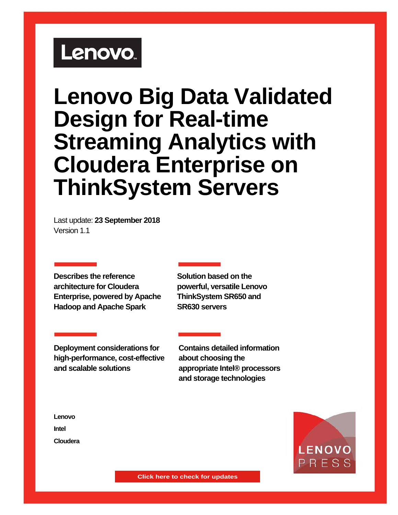# Lenovo.

# **Lenovo Big Data Validated Design for Real-time Streaming Analytics with Cloudera Enterprise on ThinkSystem Servers**

Last update: **23 September 2018** Version 1.1

**Describes the reference architecture for Cloudera Enterprise, powered by Apache Hadoop and Apache Spark**

**Solution based on the powerful, versatile Lenovo ThinkSystem SR650 and SR630 servers**

**Deployment considerations for high-performance, cost-effective and scalable solutions**

**Contains detailed information about choosing the appropriate Intel® processors and storage technologies**

**Lenovo Intel Cloudera**



<sup>1</sup> **Lenovo Big Data Validated Design for Real-time Streaming Analytics with Cloudera**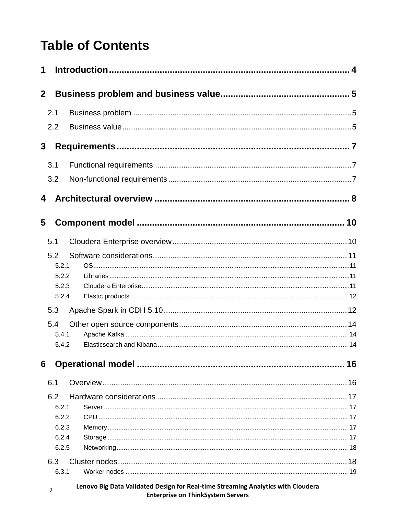# **Table of Contents**

| 1            |                                                  |                                                                                  |    |
|--------------|--------------------------------------------------|----------------------------------------------------------------------------------|----|
| $\mathbf{2}$ |                                                  |                                                                                  |    |
|              | 2.1                                              |                                                                                  |    |
|              | 2.2                                              |                                                                                  |    |
| 3            |                                                  |                                                                                  |    |
|              | 3.1                                              |                                                                                  |    |
|              | 3.2                                              |                                                                                  |    |
| 4            |                                                  |                                                                                  |    |
| 5            |                                                  |                                                                                  |    |
|              | 5.1                                              |                                                                                  |    |
|              | 5.2<br>5.2.1<br>5.2.2                            |                                                                                  |    |
|              | 5.2.3<br>5.2.4                                   |                                                                                  |    |
|              | 5.3                                              |                                                                                  |    |
|              | 5.4<br>5.4.1<br>5.4.2                            |                                                                                  |    |
| 6            |                                                  |                                                                                  | 16 |
|              | 6.1                                              |                                                                                  |    |
|              | 6.2<br>6.2.1<br>6.2.2<br>6.2.3<br>6.2.4<br>6.2.5 |                                                                                  |    |
|              | 6.3                                              |                                                                                  |    |
|              | 6.3.1<br>$\overline{2}$                          | Lenovo Big Data Validated Design for Real-time Streaming Analytics with Cloudera |    |

**Enterprise on ThinkSystem Servers**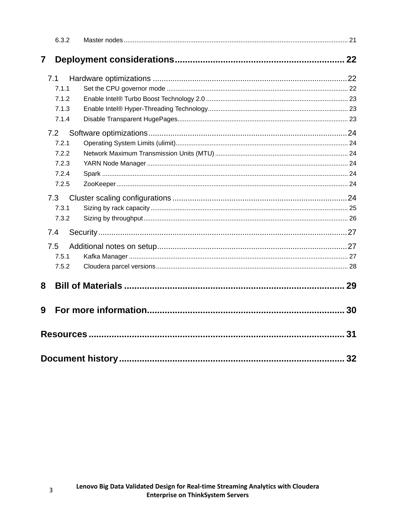|     | 6.3.2 |    |
|-----|-------|----|
| 7   |       |    |
| 7.1 |       |    |
|     | 7.1.1 |    |
|     | 7.1.2 |    |
|     | 7.1.3 |    |
|     | 7.1.4 |    |
| 7.2 |       |    |
|     | 7.2.1 |    |
|     | 7.2.2 |    |
|     | 7.2.3 |    |
|     | 7.2.4 |    |
|     | 7.2.5 |    |
| 7.3 |       |    |
|     | 7.3.1 |    |
|     | 7.3.2 |    |
| 7.4 |       |    |
| 7.5 |       |    |
|     | 7.5.1 |    |
|     | 7.5.2 |    |
| 8   |       |    |
| 9   |       |    |
|     |       | 31 |
|     |       | 32 |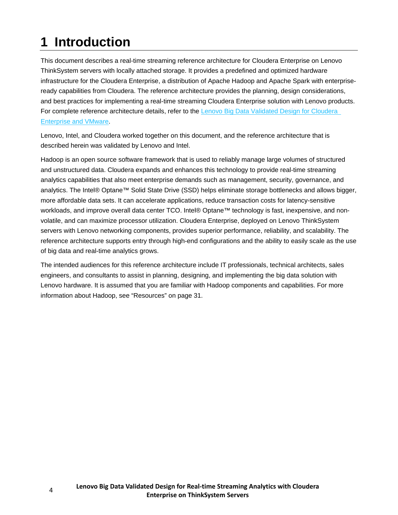# <span id="page-3-0"></span>**1 Introduction**

This document describes a real-time streaming reference architecture for Cloudera Enterprise on Lenovo ThinkSystem servers with locally attached storage. It provides a predefined and optimized hardware infrastructure for the Cloudera Enterprise, a distribution of Apache Hadoop and Apache Spark with enterpriseready capabilities from Cloudera. The reference architecture provides the planning, design considerations, and best practices for implementing a real-time streaming Cloudera Enterprise solution with Lenovo products. For complete reference architecture details, refer to the [Lenovo Big Data Validated Design for Cloudera](https://lenovopress.com/lp0776.pdf)  [Enterprise and VMware.](https://lenovopress.com/lp0776.pdf)

Lenovo, Intel, and Cloudera worked together on this document, and the reference architecture that is described herein was validated by Lenovo and Intel.

Hadoop is an open source software framework that is used to reliably manage large volumes of structured and unstructured data. Cloudera expands and enhances this technology to provide real-time streaming analytics capabilities that also meet enterprise demands such as management, security, governance, and analytics. The Intel® Optane™ Solid State Drive (SSD) helps eliminate storage bottlenecks and allows bigger, more affordable data sets. It can accelerate applications, reduce transaction costs for latency-sensitive workloads, and improve overall data center TCO. Intel® Optane™ technology is fast, inexpensive, and nonvolatile, and can maximize processor utilization. Cloudera Enterprise, deployed on Lenovo ThinkSystem servers with Lenovo networking components, provides superior performance, reliability, and scalability. The reference architecture supports entry through high-end configurations and the ability to easily scale as the use of big data and real-time analytics grows.

The intended audiences for this reference architecture include IT professionals, technical architects, sales engineers, and consultants to assist in planning, designing, and implementing the big data solution with Lenovo hardware. It is assumed that you are familiar with Hadoop components and capabilities. For more information about Hadoop, see "Resources" on page [31.](#page-30-0)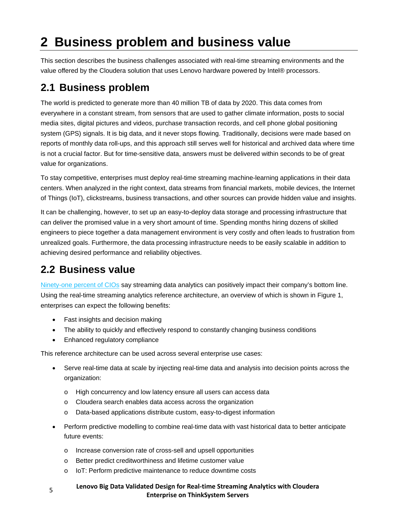# <span id="page-4-0"></span>**2 Business problem and business value**

This section describes the business challenges associated with real-time streaming environments and the value offered by the Cloudera solution that uses Lenovo hardware powered by Intel® processors.

## <span id="page-4-1"></span>**2.1 Business problem**

The world is predicted to generate more than 40 million TB of data by 2020. This data comes from everywhere in a constant stream, from sensors that are used to gather climate information, posts to social media sites, digital pictures and videos, purchase transaction records, and cell phone global positioning system (GPS) signals. It is big data, and it never stops flowing. Traditionally, decisions were made based on reports of monthly data roll-ups, and this approach still serves well for historical and archived data where time is not a crucial factor. But for time-sensitive data, answers must be delivered within seconds to be of great value for organizations.

To stay competitive, enterprises must deploy real-time streaming machine-learning applications in their data centers. When analyzed in the right context, data streams from financial markets, mobile devices, the Internet of Things (IoT), clickstreams, business transactions, and other sources can provide hidden value and insights.

It can be challenging, however, to set up an easy-to-deploy data storage and processing infrastructure that can deliver the promised value in a very short amount of time. Spending months hiring dozens of skilled engineers to piece together a data management environment is very costly and often leads to frustration from unrealized goals. Furthermore, the data processing infrastructure needs to be easily scalable in addition to achieving desired performance and reliability objectives.

## <span id="page-4-2"></span>**2.2 Business value**

Ninety-one [percent of CIOs](http://www.cioinsight.com/it-management/innovation/slideshows/how-real-time-data-boosts-the-bottom-line.html) say streaming data analytics can positively impact their company's bottom line. Using the real-time streaming analytics reference architecture, an overview of which is shown in Figure 1, enterprises can expect the following benefits:

- Fast insights and decision making
- The ability to quickly and effectively respond to constantly changing business conditions
- Enhanced regulatory compliance

This reference architecture can be used across several enterprise use cases:

- Serve real-time data at scale by injecting real-time data and analysis into decision points across the organization:
	- o High concurrency and low latency ensure all users can access data
	- o Cloudera search enables data access across the organization
	- o Data-based applications distribute custom, easy-to-digest information
- Perform predictive modelling to combine real-time data with vast historical data to better anticipate future events:
	- o Increase conversion rate of cross-sell and upsell opportunities
	- o Better predict creditworthiness and lifetime customer value
	- o IoT: Perform predictive maintenance to reduce downtime costs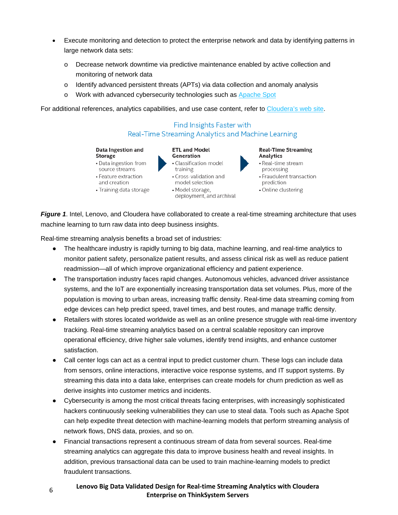- Execute monitoring and detection to protect the enterprise network and data by identifying patterns in large network data sets:
	- o Decrease network downtime via predictive maintenance enabled by active collection and monitoring of network data
	- o Identify advanced persistent threats (APTs) via data collection and anomaly analysis
	- o Work with advanced cybersecurity technologies such as [Apache Spot](http://blog.cloudera.com/blog/2016/09/spot-fighting-cyber-threats-via-an-open-data-model/)

For additional references, analytics capabilities, and use case content, refer to [Cloudera's web site.](https://www.cloudera.com/products/operational-db.html)

#### Find Insights Faster with Real-Time Streaming Analytics and Machine Learning

#### Data Ingestion and **Storage**

- Data ingestion from
- source streams
- Feature extraction
- and creation
- Training data storage
- Generation • Classification model training

**ETL and Model** 

- Cross-validation and model selection
- Model storage, deployment, and archival

#### **Real-Time Streaming** Analytics • Real-time stream

- processing
- Fraudulent transaction prediction
- Online clustering

*Figure 1*. Intel, Lenovo, and Cloudera have collaborated to create a real-time streaming architecture that uses machine learning to turn raw data into deep business insights.

Real-time streaming analysis benefits a broad set of industries:

- The healthcare industry is rapidly turning to big data, machine learning, and real-time analytics to monitor patient safety, personalize patient results, and assess clinical risk as well as reduce patient readmission—all of which improve organizational efficiency and patient experience.
- The transportation industry faces rapid changes. Autonomous vehicles, advanced driver assistance systems, and the IoT are exponentially increasing transportation data set volumes. Plus, more of the population is moving to urban areas, increasing traffic density. Real-time data streaming coming from edge devices can help predict speed, travel times, and best routes, and manage traffic density.
- Retailers with stores located worldwide as well as an online presence struggle with real-time inventory tracking. Real-time streaming analytics based on a central scalable repository can improve operational efficiency, drive higher sale volumes, identify trend insights, and enhance customer satisfaction.
- Call center logs can act as a central input to predict customer churn. These logs can include data from sensors, online interactions, interactive voice response systems, and IT support systems. By streaming this data into a data lake, enterprises can create models for churn prediction as well as derive insights into customer metrics and incidents.
- Cybersecurity is among the most critical threats facing enterprises, with increasingly sophisticated hackers continuously seeking vulnerabilities they can use to steal data. Tools such as Apache Spot can help expedite threat detection with machine-learning models that perform streaming analysis of network flows, DNS data, proxies, and so on.
- Financial transactions represent a continuous stream of data from several sources. Real-time streaming analytics can aggregate this data to improve business health and reveal insights. In addition, previous transactional data can be used to train machine-learning models to predict fraudulent transactions.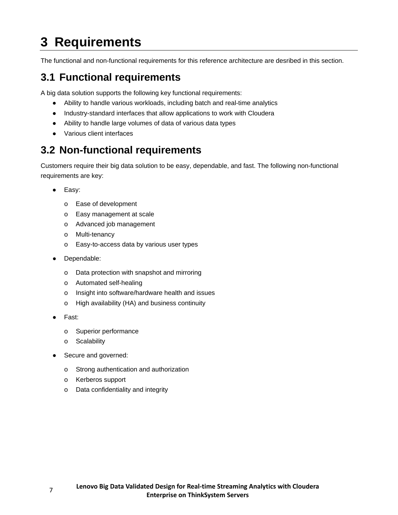# <span id="page-6-0"></span>**3 Requirements**

The functional and non-functional requirements for this reference architecture are desribed in this section.

## <span id="page-6-1"></span>**3.1 Functional requirements**

A big data solution supports the following key functional requirements:

- Ability to handle various workloads, including batch and real-time analytics
- Industry-standard interfaces that allow applications to work with Cloudera
- Ability to handle large volumes of data of various data types
- Various client interfaces

## <span id="page-6-2"></span>**3.2 Non-functional requirements**

Customers require their big data solution to be easy, dependable, and fast. The following non-functional requirements are key:

- Easy:
	- o Ease of development
	- o Easy management at scale
	- o Advanced job management
	- o Multi-tenancy
	- o Easy-to-access data by various user types
- Dependable:
	- o Data protection with snapshot and mirroring
	- o Automated self-healing
	- o Insight into software/hardware health and issues
	- o High availability (HA) and business continuity
- Fast:
	- o Superior performance
	- o Scalability
- Secure and governed:
	- o Strong authentication and authorization
	- o Kerberos support
	- o Data confidentiality and integrity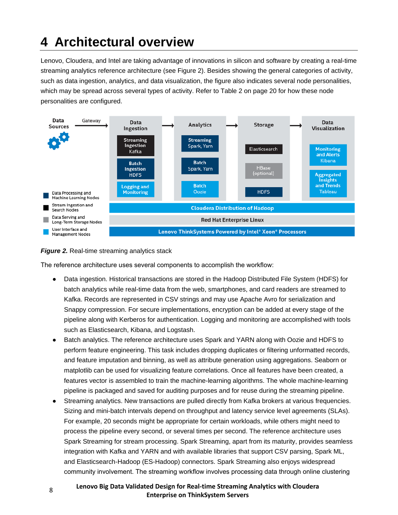# <span id="page-7-0"></span>**4 Architectural overview**

Lenovo, Cloudera, and Intel are taking advantage of innovations in silicon and software by creating a real-time streaming analytics reference architecture (see [Figure 2\)](#page-7-1). Besides showing the general categories of activity, such as data ingestion, analytics, and data visualization, the figure also indicates several node personalities, which may be spread across several types of activity. Refer to [Table 2](#page-19-0) on page [20](#page-19-0) for how these node personalities are configured.



#### <span id="page-7-1"></span>**Figure 2.** Real-time streaming analytics stack

The reference architecture uses several components to accomplish the workflow:

- Data ingestion. Historical transactions are stored in the Hadoop Distributed File System (HDFS) for batch analytics while real-time data from the web, smartphones, and card readers are streamed to Kafka. Records are represented in CSV strings and may use Apache Avro for serialization and Snappy compression. For secure implementations, encryption can be added at every stage of the pipeline along with Kerberos for authentication. Logging and monitoring are accomplished with tools such as Elasticsearch, Kibana, and Logstash.
- Batch analytics. The reference architecture uses Spark and YARN along with Oozie and HDFS to perform feature engineering. This task includes dropping duplicates or filtering unformatted records, and feature imputation and binning, as well as attribute generation using aggregations. Seaborn or matplotlib can be used for visualizing feature correlations. Once all features have been created, a features vector is assembled to train the machine-learning algorithms. The whole machine-learning pipeline is packaged and saved for auditing purposes and for reuse during the streaming pipeline.
- Streaming analytics. New transactions are pulled directly from Kafka brokers at various frequencies. Sizing and mini-batch intervals depend on throughput and latency service level agreements (SLAs). For example, 20 seconds might be appropriate for certain workloads, while others might need to process the pipeline every second, or several times per second. The reference architecture uses Spark Streaming for stream processing. Spark Streaming, apart from its maturity, provides seamless integration with Kafka and YARN and with available libraries that support CSV parsing, Spark ML, and Elasticsearch-Hadoop (ES-Hadoop) connectors. Spark Streaming also enjoys widespread community involvement. The streaming workflow involves processing data through online clustering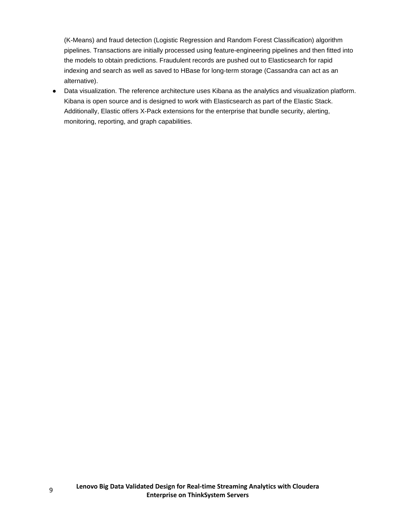(K-Means) and fraud detection (Logistic Regression and Random Forest Classification) algorithm pipelines. Transactions are initially processed using feature-engineering pipelines and then fitted into the models to obtain predictions. Fraudulent records are pushed out to Elasticsearch for rapid indexing and search as well as saved to HBase for long-term storage (Cassandra can act as an alternative).

● Data visualization. The reference architecture uses Kibana as the analytics and visualization platform. Kibana is open source and is designed to work with Elasticsearch as part of the Elastic Stack. Additionally, Elastic offers X-Pack extensions for the enterprise that bundle security, alerting, monitoring, reporting, and graph capabilities.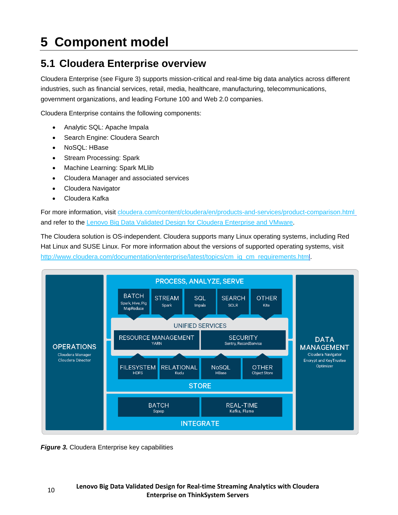# <span id="page-9-0"></span>**5 Component model**

## <span id="page-9-1"></span>**5.1 Cloudera Enterprise overview**

Cloudera Enterprise (see [Figure 3\)](#page-9-2) supports mission-critical and real-time big data analytics across different industries, such as financial services, retail, media, healthcare, manufacturing, telecommunications, government organizations, and leading Fortune 100 and Web 2.0 companies.

Cloudera Enterprise contains the following components:

- Analytic SQL: Apache Impala
- Search Engine: Cloudera Search
- NoSQL: HBase
- Stream Processing: Spark
- Machine Learning: Spark MLlib
- Cloudera Manager and associated services
- Cloudera Navigator
- Cloudera Kafka

For more information, visit [cloudera.com/content/cloudera/en/products-and-services/product-comparison.html](http://www.cloudera.com/content/dam/www/static/documents/datasheets/cloudera-enterprise-datasheet.pdf) and refer to the [Lenovo Big Data Validated Design for Cloudera Enterprise and VMware.](https://lenovopress.com/lp0776.pdf)

The Cloudera solution is OS-independent. Cloudera supports many Linux operating systems, including Red Hat Linux and SUSE Linux. For more information about the versions of supported operating systems, visit [http://www.cloudera.com/documentation/enterprise/latest/topics/cm\\_ig\\_cm\\_requirements.html.](http://www.cloudera.com/documentation/enterprise/latest/topics/cm_ig_cm_requirements.html)



<span id="page-9-2"></span>**Figure 3.** Cloudera Enterprise key capabilities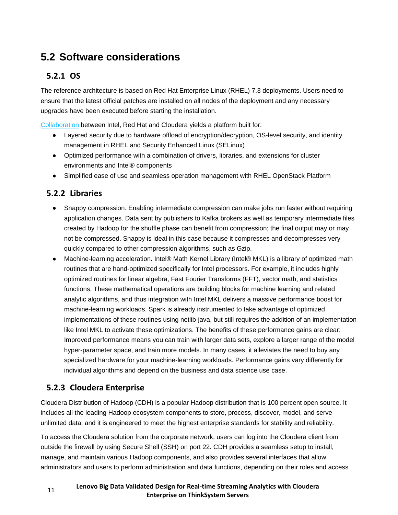## <span id="page-10-0"></span>**5.2 Software considerations**

### <span id="page-10-1"></span>**5.2.1 OS**

The reference architecture is based on Red Hat Enterprise Linux (RHEL) 7.3 deployments. Users need to ensure that the latest official patches are installed on all nodes of the deployment and any necessary upgrades have been executed before starting the installation.

[Collaboration](https://www.cloudera.com/content/dam/www/marketing/resources/solution-briefs/red-hat-solution-brief.pdf.landing.html) between Intel, Red Hat and Cloudera yields a platform built for:

- Layered security due to hardware offload of encryption/decryption, OS-level security, and identity management in RHEL and Security Enhanced Linux (SELinux)
- Optimized performance with a combination of drivers, libraries, and extensions for cluster environments and Intel® components
- Simplified ease of use and seamless operation management with RHEL OpenStack Platform

### <span id="page-10-2"></span>**5.2.2 Libraries**

- Snappy compression. Enabling intermediate compression can make jobs run faster without requiring application changes. Data sent by publishers to Kafka brokers as well as temporary intermediate files created by Hadoop for the shuffle phase can benefit from compression; the final output may or may not be compressed. Snappy is ideal in this case because it compresses and decompresses very quickly compared to other compression algorithms, such as Gzip.
- Machine-learning acceleration. Intel® Math Kernel Library (Intel® MKL) is a library of optimized math routines that are hand-optimized specifically for Intel processors. For example, it includes highly optimized routines for linear algebra, Fast Fourier Transforms (FFT), vector math, and statistics functions. These mathematical operations are building blocks for machine learning and related analytic algorithms, and thus integration with Intel MKL delivers a massive performance boost for machine-learning workloads. Spark is already instrumented to take advantage of optimized implementations of these routines using netlib-java, but still requires the addition of an implementation like Intel MKL to activate these optimizations. The benefits of these performance gains are clear: Improved performance means you can train with larger data sets, explore a larger range of the model hyper-parameter space, and train more models. In many cases, it alleviates the need to buy any specialized hardware for your machine-learning workloads. Performance gains vary differently for individual algorithms and depend on the business and data science use case.

### <span id="page-10-3"></span>**5.2.3 Cloudera Enterprise**

Cloudera Distribution of Hadoop (CDH) is a popular Hadoop distribution that is 100 percent open source. It includes all the leading Hadoop ecosystem components to store, process, discover, model, and serve unlimited data, and it is engineered to meet the highest enterprise standards for stability and reliability.

To access the Cloudera solution from the corporate network, users can log into the Cloudera client from outside the firewall by using Secure Shell (SSH) on port 22. CDH provides a seamless setup to install, manage, and maintain various Hadoop components, and also provides several interfaces that allow administrators and users to perform administration and data functions, depending on their roles and access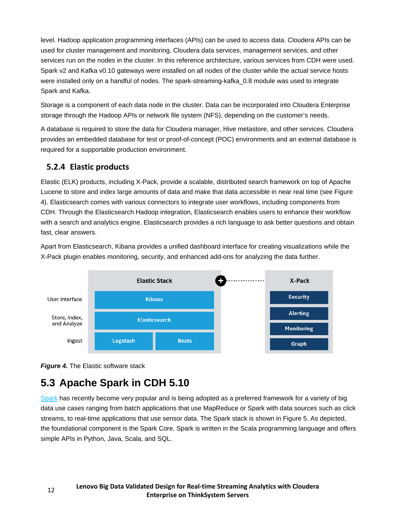level. Hadoop application programming interfaces (APIs) can be used to access data. Cloudera APIs can be used for cluster management and monitoring. Cloudera data services, management services, and other services run on the nodes in the cluster. In this reference architecture, various services from CDH were used. Spark v2 and Kafka v0.10 gateways were installed on all nodes of the cluster while the actual service hosts were installed only on a handful of nodes. The spark-streaming-kafka 0.8 module was used to integrate Spark and Kafka.

Storage is a component of each data node in the cluster. Data can be incorporated into Cloudera Enterprise storage through the Hadoop APIs or network file system (NFS), depending on the customer's needs.

A database is required to store the data for Cloudera manager, Hive metastore, and other services. Cloudera provides an embedded database for test or proof-of-concept (POC) environments and an external database is required for a supportable production environment.

### <span id="page-11-0"></span>**5.2.4 Elastic products**

Elastic (ELK) products, including X-Pack, provide a scalable, distributed search framework on top of Apache Lucene to store and index large amounts of data and make that data accessible in near real time (see Figure 4). Elasticsearch comes with various connectors to integrate user workflows, including components from CDH. Through the Elasticsearch Hadoop integration, Elasticsearch enables users to enhance their workflow with a search and analytics engine. Elasticsearch provides a rich language to ask better questions and obtain fast, clear answers.

Apart from Elasticsearch, Kibana provides a unified dashboard interface for creating visualizations while the X-Pack plugin enables monitoring, security, and enhanced add-ons for analyzing the data further.





## <span id="page-11-1"></span>**5.3 Apache Spark in CDH 5.10**

[Spark](http://spark.apache.org/) has recently become very popular and is being adopted as a preferred framework for a variety of big data use cases ranging from batch applications that use MapReduce or Spark with data sources such as click streams, to real-time applications that use sensor data. The Spark stack is shown in [Figure 5.](#page-12-0) As depicted, the foundational component is the Spark Core. Spark is written in the Scala programming language and offers simple APIs in Python, Java, Scala, and SQL.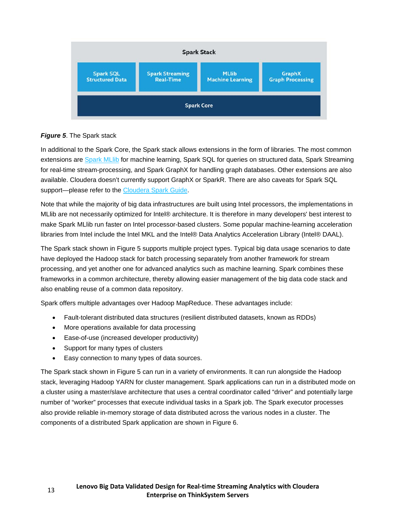

#### <span id="page-12-0"></span>*Figure 5*. The Spark stack

In additional to the Spark Core, the Spark stack allows extensions in the form of libraries. The most common extensions are Spark MLIib for machine learning, Spark SQL for queries on structured data, Spark Streaming for real-time stream-processing, and Spark GraphX for handling graph databases. Other extensions are also available. Cloudera doesn't currently support GraphX or SparkR. There are also caveats for Spark SQL support—please refer to the [Cloudera Spark Guide.](http://www.cloudera.com/documentation/enterprise/latest/topics/spark.html)

Note that while the majority of big data infrastructures are built using Intel processors, the implementations in MLlib are not necessarily optimized for Intel® architecture. It is therefore in many developers' best interest to make Spark MLlib run faster on Intel processor-based clusters. Some popular machine-learning acceleration libraries from Intel include the Intel MKL and the Intel® Data Analytics Acceleration Library (Intel® DAAL).

The Spark stack shown in [Figure 5](#page-12-0) supports multiple project types. Typical big data usage scenarios to date have deployed the Hadoop stack for batch processing separately from another framework for stream processing, and yet another one for advanced analytics such as machine learning. Spark combines these frameworks in a common architecture, thereby allowing easier management of the big data code stack and also enabling reuse of a common data repository.

Spark offers multiple advantages over Hadoop MapReduce. These advantages include:

- Fault-tolerant distributed data structures (resilient distributed datasets, known as RDDs)
- More operations available for data processing
- Ease-of-use (increased developer productivity)
- Support for many types of clusters
- Easy connection to many types of data sources.

The Spark stack shown in [Figure 5](#page-12-0) can run in a variety of environments. It can run alongside the Hadoop stack, leveraging Hadoop YARN for cluster management. Spark applications can run in a distributed mode on a cluster using a master/slave architecture that uses a central coordinator called "driver" and potentially large number of "worker" processes that execute individual tasks in a Spark job. The Spark executor processes also provide reliable in-memory storage of data distributed across the various nodes in a cluster. The components of a distributed Spark application are shown in [Figure 6.](#page-13-3)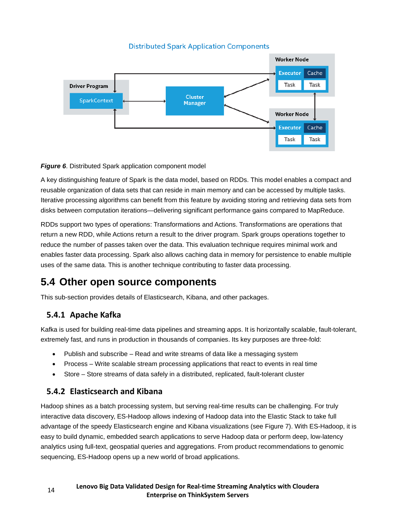#### **Distributed Spark Application Components**



<span id="page-13-3"></span>**Figure 6.** Distributed Spark application component model

A key distinguishing feature of Spark is the data model, based on RDDs. This model enables a compact and reusable organization of data sets that can reside in main memory and can be accessed by multiple tasks. Iterative processing algorithms can benefit from this feature by avoiding storing and retrieving data sets from disks between computation iterations—delivering significant performance gains compared to MapReduce.

RDDs support two types of operations: Transformations and Actions. Transformations are operations that return a new RDD, while Actions return a result to the driver program. Spark groups operations together to reduce the number of passes taken over the data. This evaluation technique requires minimal work and enables faster data processing. Spark also allows caching data in memory for persistence to enable multiple uses of the same data. This is another technique contributing to faster data processing.

## <span id="page-13-0"></span>**5.4 Other open source components**

<span id="page-13-1"></span>This sub-section provides details of Elasticsearch, Kibana, and other packages.

### **5.4.1 Apache Kafka**

Kafka is used for building real-time data pipelines and streaming apps. It is horizontally scalable, fault-tolerant, extremely fast, and runs in production in thousands of companies. Its key purposes are three-fold:

- Publish and subscribe Read and write streams of data like a messaging system
- Process Write scalable stream processing applications that react to events in real time
- Store Store streams of data safely in a distributed, replicated, fault-tolerant cluster

### <span id="page-13-2"></span>**5.4.2 Elasticsearch and Kibana**

Hadoop shines as a batch processing system, but serving real-time results can be challenging. For truly interactive data discovery, ES-Hadoop allows indexing of Hadoop data into the Elastic Stack to take full advantage of the speedy Elasticsearch engine and Kibana visualizations (see Figure 7). With ES-Hadoop, it is easy to build dynamic, embedded search applications to serve Hadoop data or perform deep, low-latency analytics using full-text, geospatial queries and aggregations. From product recommendations to genomic sequencing, ES-Hadoop opens up a new world of broad applications.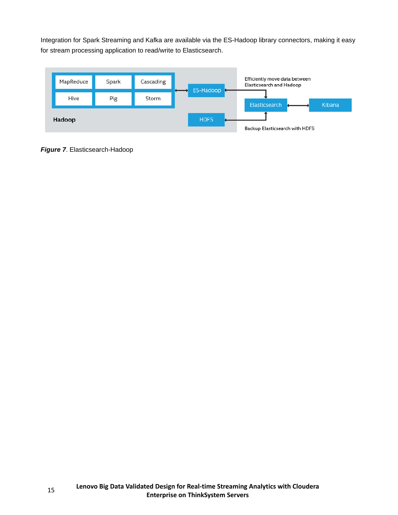Integration for Spark Streaming and Kafka are available via the ES-Hadoop library connectors, making it easy for stream processing application to read/write to Elasticsearch.



*Figure 7*. Elasticsearch-Hadoop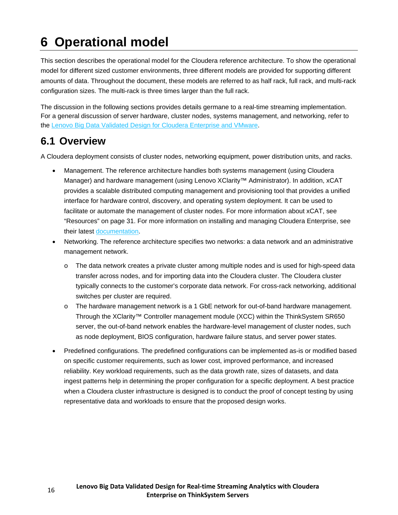# <span id="page-15-0"></span>**6 Operational model**

This section describes the operational model for the Cloudera reference architecture. To show the operational model for different sized customer environments, three different models are provided for supporting different amounts of data. Throughout the document, these models are referred to as half rack, full rack, and multi-rack configuration sizes. The multi-rack is three times larger than the full rack.

The discussion in the following sections provides details germane to a real-time streaming implementation. For a general discussion of server hardware, cluster nodes, systems management, and networking, refer to the [Lenovo Big Data Validated Design for Cloudera Enterprise and VMware.](https://lenovopress.com/lp0776.pdf)

## <span id="page-15-1"></span>**6.1 Overview**

A Cloudera deployment consists of cluster nodes, networking equipment, power distribution units, and racks.

- Management. The reference architecture handles both systems management (using Cloudera Manager) and hardware management (using Lenovo XClarity™ Administrator). In addition, xCAT provides a scalable distributed computing management and provisioning tool that provides a unified interface for hardware control, discovery, and operating system deployment. It can be used to facilitate or automate the management of cluster nodes. For more information about xCAT, see "Resources" on page [31.](#page-30-0) For more information on installing and managing Cloudera Enterprise, see their latest [documentation.](https://www.cloudera.com/documentation/enterprise/latest/topics/installation.html)
- Networking. The reference architecture specifies two networks: a data network and an administrative management network.
	- o The data network creates a private cluster among multiple nodes and is used for high-speed data transfer across nodes, and for importing data into the Cloudera cluster. The Cloudera cluster typically connects to the customer's corporate data network. For cross-rack networking, additional switches per cluster are required.
	- o The hardware management network is a 1 GbE network for out-of-band hardware management. Through the XClarity™ Controller management module (XCC) within the ThinkSystem SR650 server, the out-of-band network enables the hardware-level management of cluster nodes, such as node deployment, BIOS configuration, hardware failure status, and server power states.
- Predefined configurations. The predefined configurations can be implemented as-is or modified based on specific customer requirements, such as lower cost, improved performance, and increased reliability. Key workload requirements, such as the data growth rate, sizes of datasets, and data ingest patterns help in determining the proper configuration for a specific deployment. A best practice when a Cloudera cluster infrastructure is designed is to conduct the proof of concept testing by using representative data and workloads to ensure that the proposed design works.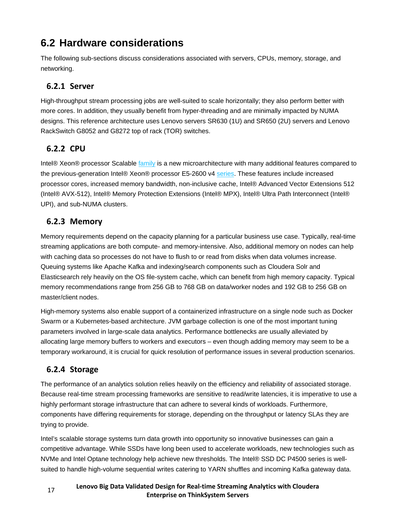# <span id="page-16-0"></span>**6.2 Hardware considerations**

The following sub-sections discuss considerations associated with servers, CPUs, memory, storage, and networking.

### <span id="page-16-1"></span>**6.2.1 Server**

High-throughput stream processing jobs are well-suited to scale horizontally; they also perform better with more cores. In addition, they usually benefit from hyper-threading and are minimally impacted by NUMA designs. This reference architecture uses Lenovo servers SR630 (1U) and SR650 (2U) servers and Lenovo RackSwitch G8052 and G8272 top of rack (TOR) switches.

### <span id="page-16-2"></span>**6.2.2 CPU**

Intel® Xeon® processor Scalable [family](https://www.intel.com/content/www/us/en/processors/xeon/scalable/xeon-scalable-platform.html) is a new microarchitecture with many additional features compared to the previous-generation Intel® Xeon® processor E5-2600 v4 [series.](https://software.intel.com/en-us/articles/intel-xeon-processor-e5-2600-v4-product-family-technical-overview) These features include increased processor cores, increased memory bandwidth, non-inclusive cache, Intel® Advanced Vector Extensions 512 (Intel® AVX-512), Intel® Memory Protection Extensions (Intel® MPX), Intel® Ultra Path Interconnect (Intel® UPI), and sub-NUMA clusters.

### <span id="page-16-3"></span>**6.2.3 Memory**

Memory requirements depend on the capacity planning for a particular business use case. Typically, real-time streaming applications are both compute- and memory-intensive. Also, additional memory on nodes can help with caching data so processes do not have to flush to or read from disks when data volumes increase. Queuing systems like Apache Kafka and indexing/search components such as Cloudera Solr and Elasticsearch rely heavily on the OS file-system cache, which can benefit from high memory capacity. Typical memory recommendations range from 256 GB to 768 GB on data/worker nodes and 192 GB to 256 GB on master/client nodes.

High-memory systems also enable support of a containerized infrastructure on a single node such as Docker Swarm or a Kubernetes-based architecture. JVM garbage collection is one of the most important tuning parameters involved in large-scale data analytics. Performance bottlenecks are usually alleviated by allocating large memory buffers to workers and executors – even though adding memory may seem to be a temporary workaround, it is crucial for quick resolution of performance issues in several production scenarios.

### <span id="page-16-4"></span>**6.2.4 Storage**

The performance of an analytics solution relies heavily on the efficiency and reliability of associated storage. Because real-time stream processing frameworks are sensitive to read/write latencies, it is imperative to use a highly performant storage infrastructure that can adhere to several kinds of workloads. Furthermore, components have differing requirements for storage, depending on the throughput or latency SLAs they are trying to provide.

Intel's scalable storage systems turn data growth into opportunity so innovative businesses can gain a competitive advantage. While SSDs have long been used to accelerate workloads, new technologies such as NVMe and Intel Optane technology help achieve new thresholds. The Intel® SSD DC P4500 series is wellsuited to handle high-volume sequential writes catering to YARN shuffles and incoming Kafka gateway data.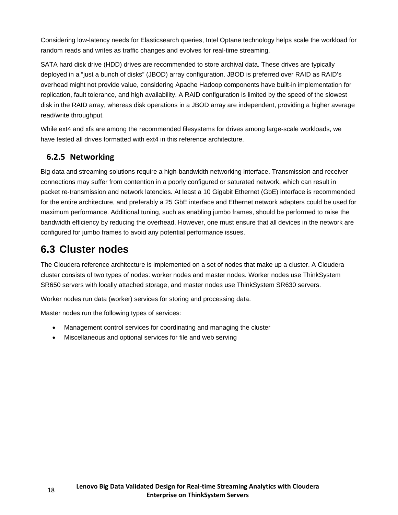Considering low-latency needs for Elasticsearch queries, Intel Optane technology helps scale the workload for random reads and writes as traffic changes and evolves for real-time streaming.

SATA hard disk drive (HDD) drives are recommended to store archival data. These drives are typically deployed in a "just a bunch of disks" (JBOD) array configuration. JBOD is preferred over RAID as RAID's overhead might not provide value, considering Apache Hadoop components have built-in implementation for replication, fault tolerance, and high availability. A RAID configuration is limited by the speed of the slowest disk in the RAID array, whereas disk operations in a JBOD array are independent, providing a higher average read/write throughput.

While ext4 and xfs are among the recommended filesystems for drives among large-scale workloads, we have tested all drives formatted with ext4 in this reference architecture.

### <span id="page-17-0"></span>**6.2.5 Networking**

Big data and streaming solutions require a high-bandwidth networking interface. Transmission and receiver connections may suffer from contention in a poorly configured or saturated network, which can result in packet re-transmission and network latencies. At least a 10 Gigabit Ethernet (GbE) interface is recommended for the entire architecture, and preferably a 25 GbE interface and Ethernet network adapters could be used for maximum performance. Additional tuning, such as enabling jumbo frames, should be performed to raise the bandwidth efficiency by reducing the overhead. However, one must ensure that all devices in the network are configured for jumbo frames to avoid any potential performance issues.

## <span id="page-17-1"></span>**6.3 Cluster nodes**

The Cloudera reference architecture is implemented on a set of nodes that make up a cluster. A Cloudera cluster consists of two types of nodes: worker nodes and master nodes. Worker nodes use ThinkSystem SR650 servers with locally attached storage, and master nodes use ThinkSystem SR630 servers.

Worker nodes run data (worker) services for storing and processing data.

Master nodes run the following types of services:

- Management control services for coordinating and managing the cluster
- Miscellaneous and optional services for file and web serving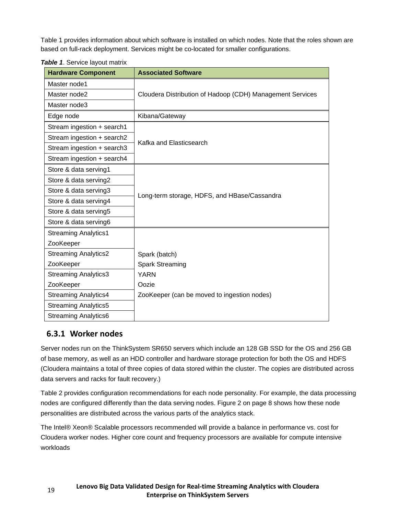[Table 1](#page-18-1) provides information about which software is installed on which nodes. Note that the roles shown are based on full-rack deployment. Services might be co-located for smaller configurations.

| <b>Hardware Component</b>   | <b>Associated Software</b>                                |  |  |  |
|-----------------------------|-----------------------------------------------------------|--|--|--|
| Master node1                |                                                           |  |  |  |
| Master node2                | Cloudera Distribution of Hadoop (CDH) Management Services |  |  |  |
| Master node3                |                                                           |  |  |  |
| Edge node                   | Kibana/Gateway                                            |  |  |  |
| Stream ingestion + search1  |                                                           |  |  |  |
| Stream ingestion + search2  | Kafka and Elasticsearch                                   |  |  |  |
| Stream ingestion + search3  |                                                           |  |  |  |
| Stream ingestion + search4  |                                                           |  |  |  |
| Store & data serving1       |                                                           |  |  |  |
| Store & data serving2       |                                                           |  |  |  |
| Store & data serving3       | Long-term storage, HDFS, and HBase/Cassandra              |  |  |  |
| Store & data serving4       |                                                           |  |  |  |
| Store & data serving5       |                                                           |  |  |  |
| Store & data serving6       |                                                           |  |  |  |
| <b>Streaming Analytics1</b> |                                                           |  |  |  |
| ZooKeeper                   |                                                           |  |  |  |
| <b>Streaming Analytics2</b> | Spark (batch)                                             |  |  |  |
| ZooKeeper                   | <b>Spark Streaming</b>                                    |  |  |  |
| <b>Streaming Analytics3</b> | <b>YARN</b>                                               |  |  |  |
| ZooKeeper                   | Oozie                                                     |  |  |  |
| <b>Streaming Analytics4</b> | ZooKeeper (can be moved to ingestion nodes)               |  |  |  |
| <b>Streaming Analytics5</b> |                                                           |  |  |  |
| <b>Streaming Analytics6</b> |                                                           |  |  |  |

<span id="page-18-1"></span>*Table 1*. Service layout matrix

### <span id="page-18-0"></span>**6.3.1 Worker nodes**

Server nodes run on the ThinkSystem SR650 servers which include an 128 GB SSD for the OS and 256 GB of base memory, as well as an HDD controller and hardware storage protection for both the OS and HDFS (Cloudera maintains a total of three copies of data stored within the cluster. The copies are distributed across data servers and racks for fault recovery.)

[Table 2](#page-19-0) provides configuration recommendations for each node personality. For example, the data processing nodes are configured differently than the data serving nodes. [Figure 2](#page-7-1) on page [8](#page-7-1) shows how these node personalities are distributed across the various parts of the analytics stack.

The Intel® Xeon® Scalable processors recommended will provide a balance in performance vs. cost for Cloudera worker nodes. Higher core count and frequency processors are available for compute intensive workloads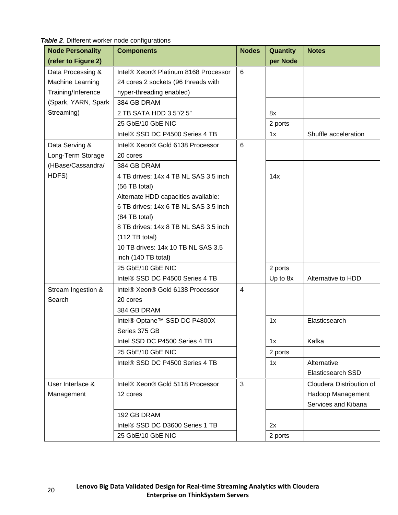<span id="page-19-0"></span>

| <b>Node Personality</b> | <b>Components</b>                     | <b>Nodes</b> | Quantity | <b>Notes</b>             |
|-------------------------|---------------------------------------|--------------|----------|--------------------------|
| (refer to Figure 2)     |                                       |              | per Node |                          |
| Data Processing &       | Intel® Xeon® Platinum 8168 Processor  | 6            |          |                          |
| Machine Learning        | 24 cores 2 sockets (96 threads with   |              |          |                          |
| Training/Inference      | hyper-threading enabled)              |              |          |                          |
| (Spark, YARN, Spark     | 384 GB DRAM                           |              |          |                          |
| Streaming)              | 2 TB SATA HDD 3.5"/2.5"               |              | 8x       |                          |
|                         | 25 GbE/10 GbE NIC                     |              | 2 ports  |                          |
|                         | Intel® SSD DC P4500 Series 4 TB       |              | 1x       | Shuffle acceleration     |
| Data Serving &          | Intel® Xeon® Gold 6138 Processor      | 6            |          |                          |
| Long-Term Storage       | 20 cores                              |              |          |                          |
| (HBase/Cassandra/       | 384 GB DRAM                           |              |          |                          |
| HDFS)                   | 4 TB drives: 14x 4 TB NL SAS 3.5 inch |              | 14x      |                          |
|                         | (56 TB total)                         |              |          |                          |
|                         | Alternate HDD capacities available:   |              |          |                          |
|                         | 6 TB drives; 14x 6 TB NL SAS 3.5 inch |              |          |                          |
|                         | (84 TB total)                         |              |          |                          |
|                         | 8 TB drives: 14x 8 TB NL SAS 3.5 inch |              |          |                          |
|                         | (112 TB total)                        |              |          |                          |
|                         | 10 TB drives: 14x 10 TB NL SAS 3.5    |              |          |                          |
|                         | inch (140 TB total)                   |              |          |                          |
|                         | 25 GbE/10 GbE NIC                     |              | 2 ports  |                          |
|                         | Intel® SSD DC P4500 Series 4 TB       |              | Up to 8x | Alternative to HDD       |
| Stream Ingestion &      | Intel® Xeon® Gold 6138 Processor      | 4            |          |                          |
| Search                  | 20 cores                              |              |          |                          |
|                         | 384 GB DRAM                           |              |          |                          |
|                         | Intel® Optane™ SSD DC P4800X          |              | 1x       | Elasticsearch            |
|                         | Series 375 GB                         |              |          |                          |
|                         | Intel SSD DC P4500 Series 4 TB        |              | 1x       | Kafka                    |
|                         | 25 GbE/10 GbE NIC                     |              | 2 ports  |                          |
|                         | Intel® SSD DC P4500 Series 4 TB       |              | 1x       | Alternative              |
|                         |                                       |              |          | Elasticsearch SSD        |
| User Interface &        | Intel® Xeon® Gold 5118 Processor      | 3            |          | Cloudera Distribution of |
| Management              | 12 cores                              |              |          | Hadoop Management        |
|                         |                                       |              |          | Services and Kibana      |
|                         | 192 GB DRAM                           |              |          |                          |
|                         | Intel® SSD DC D3600 Series 1 TB       |              | 2x       |                          |
|                         | 25 GbE/10 GbE NIC                     |              | 2 ports  |                          |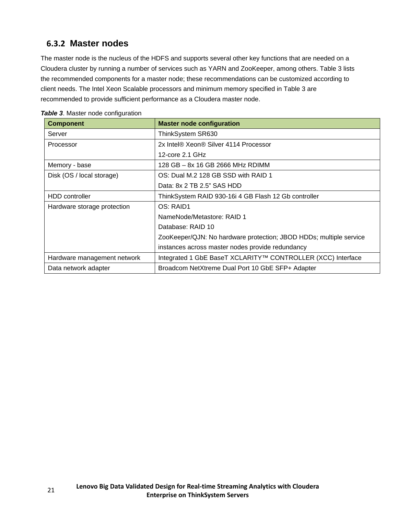## <span id="page-20-0"></span>**6.3.2 Master nodes**

The master node is the nucleus of the HDFS and supports several other key functions that are needed on a Cloudera cluster by running a number of services such as YARN and ZooKeeper, among others. [Table 3](#page-20-1) lists the recommended components for a master node; these recommendations can be customized according to client needs. The Intel Xeon Scalable processors and minimum memory specified in [Table 3](#page-20-1) are recommended to provide sufficient performance as a Cloudera master node.

| <b>Component</b>            | <b>Master node configuration</b>                                   |  |  |
|-----------------------------|--------------------------------------------------------------------|--|--|
| Server                      | ThinkSystem SR630                                                  |  |  |
| Processor                   | 2x Intel® Xeon® Silver 4114 Processor                              |  |  |
|                             | 12-core $2.1$ GHz                                                  |  |  |
| Memory - base               | 128 GB - 8x 16 GB 2666 MHz RDIMM                                   |  |  |
| Disk (OS / local storage)   | OS: Dual M.2 128 GB SSD with RAID 1                                |  |  |
|                             | Data: 8x 2 TB 2.5" SAS HDD                                         |  |  |
| HDD controller              | ThinkSystem RAID 930-16i 4 GB Flash 12 Gb controller               |  |  |
| Hardware storage protection | OS: RAID1                                                          |  |  |
|                             | NameNode/Metastore: RAID 1                                         |  |  |
|                             | Database: RAID 10                                                  |  |  |
|                             | ZooKeeper/QJN: No hardware protection; JBOD HDDs; multiple service |  |  |
|                             | instances across master nodes provide redundancy                   |  |  |
| Hardware management network | Integrated 1 GbE BaseT XCLARITY™ CONTROLLER (XCC) Interface        |  |  |
| Data network adapter        | Broadcom NetXtreme Dual Port 10 GbE SFP+ Adapter                   |  |  |

<span id="page-20-1"></span>**Table 3.** Master node configuration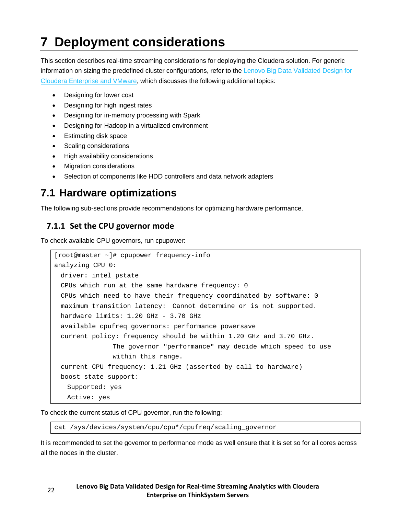# <span id="page-21-0"></span>**7 Deployment considerations**

This section describes real-time streaming considerations for deploying the Cloudera solution. For generic information on sizing the predefined cluster configurations, refer to the Lenovo Big Data Validated Design for [Cloudera Enterprise and VMware,](https://lenovopress.com/lp0776.pdf) which discusses the following additional topics:

- Designing for lower cost
- Designing for high ingest rates
- Designing for in-memory processing with Spark
- Designing for Hadoop in a virtualized environment
- Estimating disk space
- Scaling considerations
- High availability considerations
- Migration considerations
- Selection of components like HDD controllers and data network adapters

## <span id="page-21-1"></span>**7.1 Hardware optimizations**

<span id="page-21-2"></span>The following sub-sections provide recommendations for optimizing hardware performance.

### **7.1.1 Set the CPU governor mode**

To check available CPU governors, run cpupower:

```
[root@master ~]# cpupower frequency-info
analyzing CPU 0:
  driver: intel_pstate
  CPUs which run at the same hardware frequency: 0
  CPUs which need to have their frequency coordinated by software: 0
  maximum transition latency: Cannot determine or is not supported.
 hardware limits: 1.20 GHz - 3.70 GHz
  available cpufreq governors: performance powersave
  current policy: frequency should be within 1.20 GHz and 3.70 GHz.
                The governor "performance" may decide which speed to use
                within this range.
  current CPU frequency: 1.21 GHz (asserted by call to hardware)
  boost state support:
    Supported: yes
    Active: yes
```
To check the current status of CPU governor, run the following:

cat /sys/devices/system/cpu/cpu\*/cpufreq/scaling\_governor

It is recommended to set the governor to performance mode as well ensure that it is set so for all cores across all the nodes in the cluster.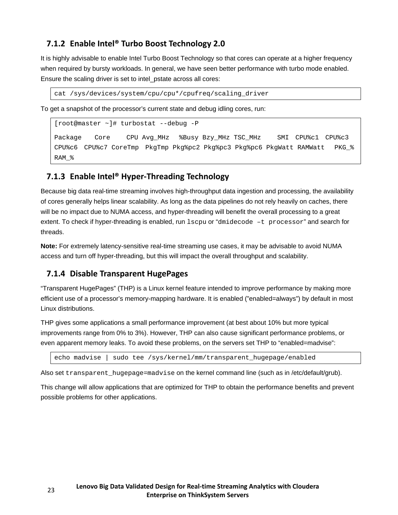### <span id="page-22-0"></span>**7.1.2 Enable Intel® Turbo Boost Technology 2.0**

It is highly advisable to enable Intel Turbo Boost Technology so that cores can operate at a higher frequency when required by bursty workloads. In general, we have seen better performance with turbo mode enabled. Ensure the scaling driver is set to intel\_pstate across all cores:

cat /sys/devices/system/cpu/cpu\*/cpufreq/scaling\_driver

To get a snapshot of the processor's current state and debug idling cores, run:

[root@master ~]# turbostat --debug -P

Package Core CPU Avg\_MHz %Busy Bzy\_MHz TSC\_MHz SMI CPU%c1 CPU%c3 CPU%c6 CPU%c7 CoreTmp PkgTmp Pkg%pc2 Pkg%pc3 Pkg%pc6 PkgWatt RAMWatt PKG\_% RAM\_%

### <span id="page-22-1"></span>**7.1.3 Enable Intel® Hyper-Threading Technology**

Because big data real-time streaming involves high-throughput data ingestion and processing, the availability of cores generally helps linear scalability. As long as the data pipelines do not rely heavily on caches, there will be no impact due to NUMA access, and hyper-threading will benefit the overall processing to a great extent. To check if hyper-threading is enabled, run lscpu or "dmidecode –t processor" and search for threads.

**Note:** For extremely latency-sensitive real-time streaming use cases, it may be advisable to avoid NUMA access and turn off hyper-threading, but this will impact the overall throughput and scalability.

#### <span id="page-22-2"></span>**7.1.4 Disable Transparent HugePages**

"Transparent HugePages" (THP) is a Linux kernel feature intended to improve performance by making more efficient use of a processor's memory-mapping hardware. It is enabled ("enabled=always") by default in most Linux distributions.

THP gives some applications a small performance improvement (at best about 10% but more typical improvements range from 0% to 3%). However, THP can also cause significant performance problems, or even apparent memory leaks. To avoid these problems, on the servers set THP to "enabled=madvise":

echo madvise | sudo tee /sys/kernel/mm/transparent\_hugepage/enabled

Also set transparent hugepage=madvise on the kernel command line (such as in /etc/default/grub).

This change will allow applications that are optimized for THP to obtain the performance benefits and prevent possible problems for other applications.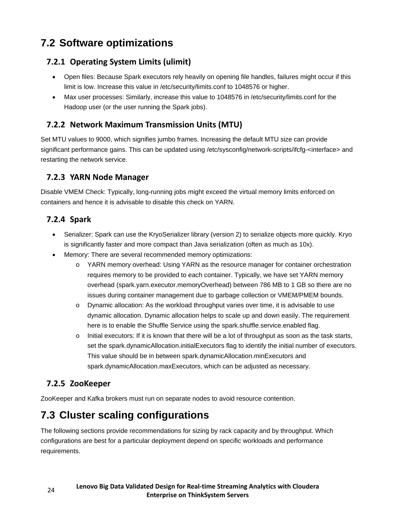# <span id="page-23-0"></span>**7.2 Software optimizations**

### <span id="page-23-1"></span>**7.2.1 Operating System Limits (ulimit)**

- Open files: Because Spark executors rely heavily on opening file handles, failures might occur if this limit is low. Increase this value in /etc/security/limits.conf to 1048576 or higher.
- Max user processes: Similarly, increase this value to 1048576 in /etc/security/limits.conf for the Hadoop user (or the user running the Spark jobs).

### <span id="page-23-2"></span>**7.2.2 Network Maximum Transmission Units (MTU)**

Set MTU values to 9000, which signifies jumbo frames. Increasing the default MTU size can provide significant performance gains. This can be updated using /etc/sysconfig/network-scripts/ifcfg-<interface> and restarting the network service.

### <span id="page-23-3"></span>**7.2.3 YARN Node Manager**

Disable VMEM Check: Typically, long-running jobs might exceed the virtual memory limits enforced on containers and hence it is advisable to disable this check on YARN.

### <span id="page-23-4"></span>**7.2.4 Spark**

- Serializer: Spark can use the KryoSerializer library (version 2) to serialize objects more quickly. Kryo is significantly faster and more compact than Java serialization (often as much as 10x).
- Memory: There are several recommended memory optimizations:
	- o YARN memory overhead: Using YARN as the resource manager for container orchestration requires memory to be provided to each container. Typically, we have set YARN memory overhead (spark.yarn.executor.memoryOverhead) between 786 MB to 1 GB so there are no issues during container management due to garbage collection or VMEM/PMEM bounds.
	- o Dynamic allocation: As the workload throughput varies over time, it is advisable to use dynamic allocation. Dynamic allocation helps to scale up and down easily. The requirement here is to enable the Shuffle Service using the spark.shuffle.service.enabled flag.
	- $\circ$  Initial executors: If it is known that there will be a lot of throughput as soon as the task starts, set the spark.dynamicAllocation.initialExecutors flag to identify the initial number of executors. This value should be in between spark.dynamicAllocation.minExecutors and spark.dynamicAllocation.maxExecutors, which can be adjusted as necessary.

### <span id="page-23-5"></span>**7.2.5 ZooKeeper**

ZooKeeper and Kafka brokers must run on separate nodes to avoid resource contention.

## <span id="page-23-6"></span>**7.3 Cluster scaling configurations**

The following sections provide recommendations for sizing by rack capacity and by throughput. Which configurations are best for a particular deployment depend on specific workloads and performance requirements.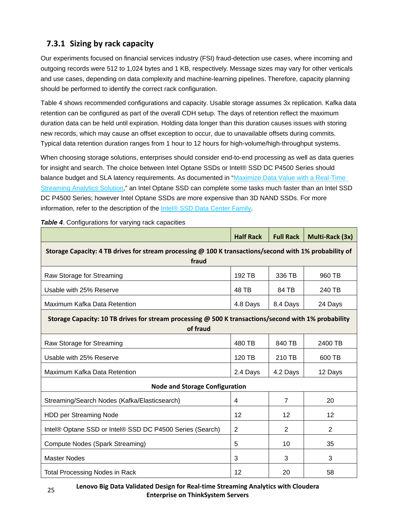## <span id="page-24-0"></span>**7.3.1 Sizing by rack capacity**

Our experiments focused on financial services industry (FSI) fraud-detection use cases, where incoming and outgoing records were 512 to 1,024 bytes and 1 KB, respectively. Message sizes may vary for other verticals and use cases, depending on data complexity and machine-learning pipelines. Therefore, capacity planning should be performed to identify the correct rack configuration.

[Table 4](#page-24-1) shows recommended configurations and capacity. Usable storage assumes 3x replication. Kafka data retention can be configured as part of the overall CDH setup. The days of retention reflect the maximum duration data can be held until expiration. Holding data longer than this duration causes issues with storing new records, which may cause an offset exception to occur, due to unavailable offsets during commits. Typical data retention duration ranges from 1 hour to 12 hours for high-volume/high-throughput systems.

When choosing storage solutions, enterprises should consider end-to-end processing as well as data queries for insight and search. The choice between Intel Optane SSDs or Intel® SSD DC P4500 Series should balance budget and SLA latency requirements. As documented in ["Maximize Data Value with a Real-Time](https://www.intel.com/content/www/us/en/analytics/real-time-streaming-analytics-brief.html)  [Streaming Analytics Solution,](https://www.intel.com/content/www/us/en/analytics/real-time-streaming-analytics-brief.html)" an Intel Optane SSD can complete some tasks much faster than an Intel SSD DC P4500 Series; however Intel Optane SSDs are more expensive than 3D NAND SSDs. For more information, refer to the description of the [Intel® SSD Data Center Family.](https://www.intel.com/content/www/us/en/products/memory-storage/solid-state-drives/data-center-ssds.html)

|                                                                                                                  | <b>Half Rack</b> | <b>Full Rack</b> | Multi-Rack (3x) |  |  |
|------------------------------------------------------------------------------------------------------------------|------------------|------------------|-----------------|--|--|
| Storage Capacity: 4 TB drives for stream processing @ 100 K transactions/second with 1% probability of<br>fraud  |                  |                  |                 |  |  |
| Raw Storage for Streaming                                                                                        | 192 TB           | 336 TB           | 960 TB          |  |  |
| Usable with 25% Reserve                                                                                          | 48 TB            | 84 TB            | 240 TB          |  |  |
| Maximum Kafka Data Retention                                                                                     | 4.8 Days         | 8.4 Days         | 24 Days         |  |  |
| Storage Capacity: 10 TB drives for stream processing @ 500 K transactions/second with 1% probability<br>of fraud |                  |                  |                 |  |  |
| Raw Storage for Streaming                                                                                        | 480 TB           | 840 TB           | 2400 TB         |  |  |
| Usable with 25% Reserve                                                                                          | 120 TB           | 210 TB           | 600 TB          |  |  |
| Maximum Kafka Data Retention                                                                                     | 2.4 Days         | 4.2 Days         | 12 Days         |  |  |
| <b>Node and Storage Configuration</b>                                                                            |                  |                  |                 |  |  |
| Streaming/Search Nodes (Kafka/Elasticsearch)                                                                     | 4                | 7                | 20              |  |  |
| HDD per Streaming Node                                                                                           | 12               | 12               | 12              |  |  |
| Intel® Optane SSD or Intel® SSD DC P4500 Series (Search)                                                         | 2                | 2                | $\overline{2}$  |  |  |
| Compute Nodes (Spark Streaming)                                                                                  | 5                | 10               | 35              |  |  |
| <b>Master Nodes</b>                                                                                              | 3                | 3                | 3               |  |  |
| <b>Total Processing Nodes in Rack</b>                                                                            | 12               | 20               | 58              |  |  |

<span id="page-24-1"></span>*Table 4.* Configurations for varying rack capacities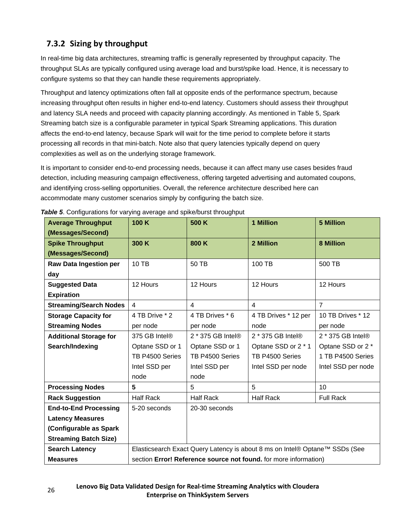## <span id="page-25-0"></span>**7.3.2 Sizing by throughput**

In real-time big data architectures, streaming traffic is generally represented by throughput capacity. The throughput SLAs are typically configured using average load and burst/spike load. Hence, it is necessary to configure systems so that they can handle these requirements appropriately.

Throughput and latency optimizations often fall at opposite ends of the performance spectrum, because increasing throughput often results in higher end-to-end latency. Customers should assess their throughput and latency SLA needs and proceed with capacity planning accordingly. As mentioned in [Table 5,](#page-25-1) Spark Streaming batch size is a configurable parameter in typical Spark Streaming applications. This duration affects the end-to-end latency, because Spark will wait for the time period to complete before it starts processing all records in that mini-batch. Note also that query latencies typically depend on query complexities as well as on the underlying storage framework.

It is important to consider end-to-end processing needs, because it can affect many use cases besides fraud detection, including measuring campaign effectiveness, offering targeted advertising and automated coupons, and identifying cross-selling opportunities. Overall, the reference architecture described here can accommodate many customer scenarios simply by configuring the batch size.

| <b>Average Throughput</b>     | 100 K                                                                       | 1 Million<br>500 K      |                      | <b>5 Million</b>   |
|-------------------------------|-----------------------------------------------------------------------------|-------------------------|----------------------|--------------------|
| (Messages/Second)             |                                                                             |                         |                      |                    |
| <b>Spike Throughput</b>       | 300 K                                                                       | 800 K<br>2 Million      |                      | 8 Million          |
| (Messages/Second)             |                                                                             |                         |                      |                    |
| Raw Data Ingestion per        | 10 TB                                                                       | 50 TB                   | 100 TB               | 500 TB             |
| day                           |                                                                             |                         |                      |                    |
| <b>Suggested Data</b>         | 12 Hours                                                                    | 12 Hours                | 12 Hours             | 12 Hours           |
| <b>Expiration</b>             |                                                                             |                         |                      |                    |
| <b>Streaming/Search Nodes</b> | $\overline{4}$                                                              | $\overline{\mathbf{4}}$ | $\overline{4}$       | $\overline{7}$     |
| <b>Storage Capacity for</b>   | 4 TB Drive * 2                                                              | 4 TB Drives * 6         | 4 TB Drives * 12 per | 10 TB Drives * 12  |
| <b>Streaming Nodes</b>        | per node                                                                    | per node                | node                 | per node           |
| <b>Additional Storage for</b> | 375 GB Intel®                                                               | 2 * 375 GB Intel®       | 2 * 375 GB Intel®    | 2 * 375 GB Intel®  |
| Search/Indexing               | Optane SSD or 1                                                             | Optane SSD or 1         | Optane SSD or 2 * 1  | Optane SSD or 2 *  |
|                               | TB P4500 Series                                                             | TB P4500 Series         | TB P4500 Series      | 1 TB P4500 Series  |
|                               | Intel SSD per                                                               | Intel SSD per           | Intel SSD per node   | Intel SSD per node |
|                               | node                                                                        | node                    |                      |                    |
| <b>Processing Nodes</b>       | 5                                                                           | 5                       | 5                    | 10                 |
| <b>Rack Suggestion</b>        | <b>Half Rack</b>                                                            | <b>Half Rack</b>        | <b>Half Rack</b>     | <b>Full Rack</b>   |
| <b>End-to-End Processing</b>  | 5-20 seconds                                                                | 20-30 seconds           |                      |                    |
| <b>Latency Measures</b>       |                                                                             |                         |                      |                    |
| (Configurable as Spark        |                                                                             |                         |                      |                    |
| <b>Streaming Batch Size)</b>  |                                                                             |                         |                      |                    |
| <b>Search Latency</b>         | Elasticsearch Exact Query Latency is about 8 ms on Intel® Optane™ SSDs (See |                         |                      |                    |
| <b>Measures</b>               | section Error! Reference source not found. for more information)            |                         |                      |                    |

<span id="page-25-1"></span>**Table 5.** Configurations for varying average and spike/burst throughput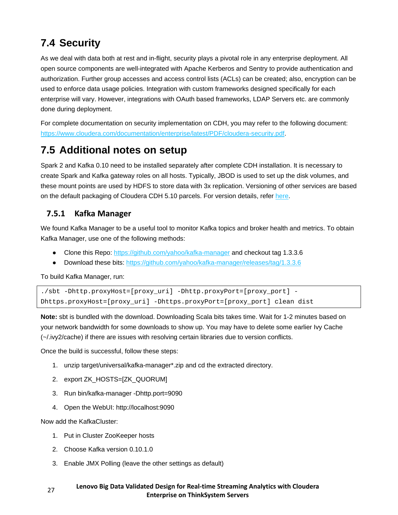# <span id="page-26-0"></span>**7.4 Security**

As we deal with data both at rest and in-flight, security plays a pivotal role in any enterprise deployment. All open source components are well-integrated with Apache Kerberos and Sentry to provide authentication and authorization. Further group accesses and access control lists (ACLs) can be created; also, encryption can be used to enforce data usage policies. Integration with custom frameworks designed specifically for each enterprise will vary. However, integrations with OAuth based frameworks, LDAP Servers etc. are commonly done during deployment.

For complete documentation on security implementation on CDH, you may refer to the following document: [https://www.cloudera.com/documentation/enterprise/latest/PDF/cloudera-security.pdf.](https://www.cloudera.com/documentation/enterprise/latest/PDF/cloudera-security.pdf)

## <span id="page-26-1"></span>**7.5 Additional notes on setup**

Spark 2 and Kafka 0.10 need to be installed separately after complete CDH installation. It is necessary to create Spark and Kafka gateway roles on all hosts. Typically, JBOD is used to set up the disk volumes, and these mount points are used by HDFS to store data with 3x replication. Versioning of other services are based on the default packaging of Cloudera CDH 5.10 parcels. For version details, refer [here.](https://www.cloudera.com/documentation/enterprise/release-notes/topics/cdh_vd_cdh_package_tarball_510.html)

### <span id="page-26-2"></span>**7.5.1 Kafka Manager**

We found Kafka Manager to be a useful tool to monitor Kafka topics and broker health and metrics. To obtain Kafka Manager, use one of the following methods:

- Clone this Repo: <https://github.com/yahoo/kafka-manager> and checkout tag 1.3.3.6
- Download these bits:<https://github.com/yahoo/kafka-manager/releases/tag/1.3.3.6>

To build Kafka Manager, run:

```
./sbt -Dhttp.proxyHost=[proxy_uri] -Dhttp.proxyPort=[proxy_port] -
Dhttps.proxyHost=[proxy_uri] -Dhttps.proxyPort=[proxy_port] clean dist
```
**Note:** sbt is bundled with the download. Downloading Scala bits takes time. Wait for 1-2 minutes based on your network bandwidth for some downloads to show up. You may have to delete some earlier Ivy Cache (~/.ivy2/cache) if there are issues with resolving certain libraries due to version conflicts.

Once the build is successful, follow these steps:

- 1. unzip target/universal/kafka-manager\*.zip and cd the extracted directory.
- 2. export ZK\_HOSTS=[ZK\_QUORUM]
- 3. Run bin/kafka-manager -Dhttp.port=9090
- 4. Open the WebUI: http://localhost:9090

Now add the KafkaCluster:

- 1. Put in Cluster ZooKeeper hosts
- 2. Choose Kafka version 0.10.1.0
- 3. Enable JMX Polling (leave the other settings as default)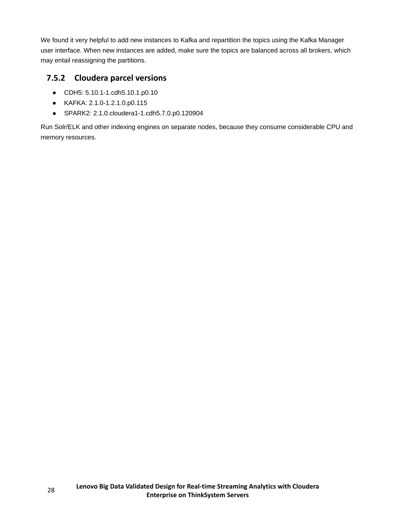We found it very helpful to add new instances to Kafka and repartition the topics using the Kafka Manager user interface. When new instances are added, make sure the topics are balanced across all brokers, which may entail reassigning the partitions.

### <span id="page-27-0"></span>**7.5.2 Cloudera parcel versions**

- CDH5: 5.10.1-1.cdh5.10.1.p0.10
- KAFKA: 2.1.0-1.2.1.0.p0.115
- SPARK2: 2.1.0.cloudera1-1.cdh5.7.0.p0.120904

Run Solr/ELK and other indexing engines on separate nodes, because they consume considerable CPU and memory resources.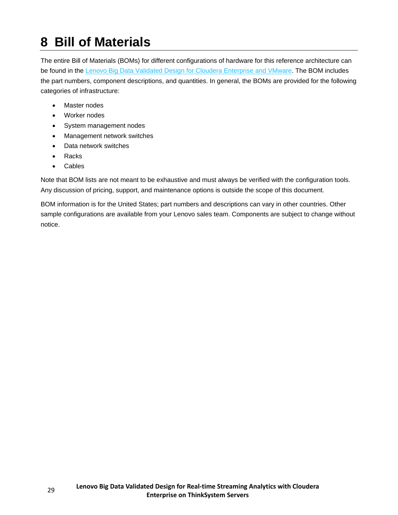# <span id="page-28-0"></span>**8 Bill of Materials**

The entire Bill of Materials (BOMs) for different configurations of hardware for this reference architecture can be found in the [Lenovo Big Data Validated Design for Cloudera Enterprise and VMware.](https://lenovopress.com/lp0776.pdf) The BOM includes the part numbers, component descriptions, and quantities. In general, the BOMs are provided for the following categories of infrastructure:

- Master nodes
- Worker nodes
- System management nodes
- Management network switches
- Data network switches
- **Racks**
- Cables

Note that BOM lists are not meant to be exhaustive and must always be verified with the configuration tools. Any discussion of pricing, support, and maintenance options is outside the scope of this document.

BOM information is for the United States; part numbers and descriptions can vary in other countries. Other sample configurations are available from your Lenovo sales team. Components are subject to change without notice.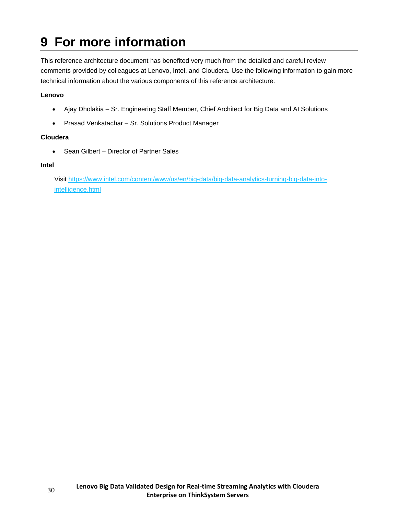# <span id="page-29-0"></span>**9 For more information**

This reference architecture document has benefited very much from the detailed and careful review comments provided by colleagues at Lenovo, Intel, and Cloudera. Use the following information to gain more technical information about the various components of this reference architecture:

#### **Lenovo**

- Ajay Dholakia Sr. Engineering Staff Member, Chief Architect for Big Data and AI Solutions
- Prasad Venkatachar Sr. Solutions Product Manager

#### **Cloudera**

• Sean Gilbert – Director of Partner Sales

#### **Intel**

Visit [https://www.intel.com/content/www/us/en/big-data/big-data-analytics-turning-big-data-into](https://www.intel.com/content/www/us/en/big-data/big-data-analytics-turning-big-data-into-intelligence.html)[intelligence.html](https://www.intel.com/content/www/us/en/big-data/big-data-analytics-turning-big-data-into-intelligence.html)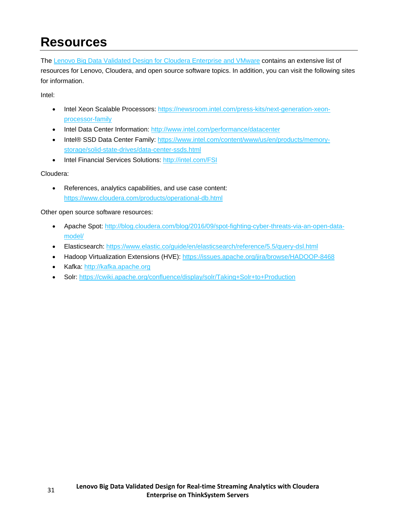# <span id="page-30-0"></span>**Resources**

The [Lenovo Big Data Validated Design for Cloudera Enterprise and VMware](https://lenovopress.com/lp0776.pdf) contains an extensive list of resources for Lenovo, Cloudera, and open source software topics. In addition, you can visit the following sites for information.

Intel:

- Intel Xeon Scalable Processors: [https://newsroom.intel.com/press-kits/next-generation-xeon](https://newsroom.intel.com/press-kits/next-generation-xeon-processor-family)[processor-family](https://newsroom.intel.com/press-kits/next-generation-xeon-processor-family)
- Intel Data Center Information:<http://www.intel.com/performance/datacenter>
- Intel® SSD Data Center Family: [https://www.intel.com/content/www/us/en/products/memory](https://www.intel.com/content/www/us/en/products/memory-storage/solid-state-drives/data-center-ssds.html)[storage/solid-state-drives/data-center-ssds.html](https://www.intel.com/content/www/us/en/products/memory-storage/solid-state-drives/data-center-ssds.html)
- Intel Financial Services Solutions:<http://intel.com/FSI>

#### Cloudera:

• References, analytics capabilities, and use case content: <https://www.cloudera.com/products/operational-db.html>

Other open source software resources:

- Apache Spot: [http://blog.cloudera.com/blog/2016/09/spot-fighting-cyber-threats-via-an-open-data](http://blog.cloudera.com/blog/2016/09/spot-fighting-cyber-threats-via-an-open-data-model/)[model/](http://blog.cloudera.com/blog/2016/09/spot-fighting-cyber-threats-via-an-open-data-model/)
- Elasticsearch: <https://www.elastic.co/guide/en/elasticsearch/reference/5.5/query-dsl.html>
- Hadoop Virtualization Extensions (HVE): <https://issues.apache.org/jira/browse/HADOOP-8468>
- Kafka: [http://kafka.apache.org](http://kafka.apache.org/)
- Solr: <https://cwiki.apache.org/confluence/display/solr/Taking+Solr+to+Production>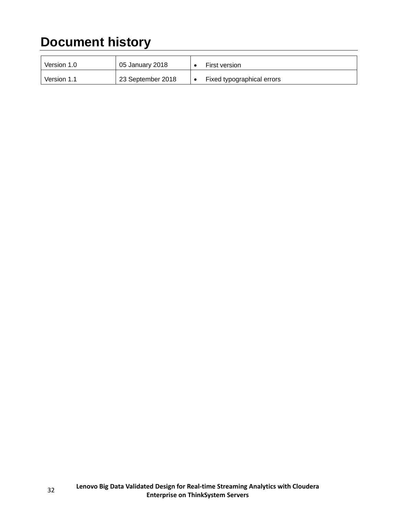# <span id="page-31-0"></span>**Document history**

| Version 1.0 | 05 January 2018   | First version              |
|-------------|-------------------|----------------------------|
| Version 1.1 | 23 September 2018 | Fixed typographical errors |